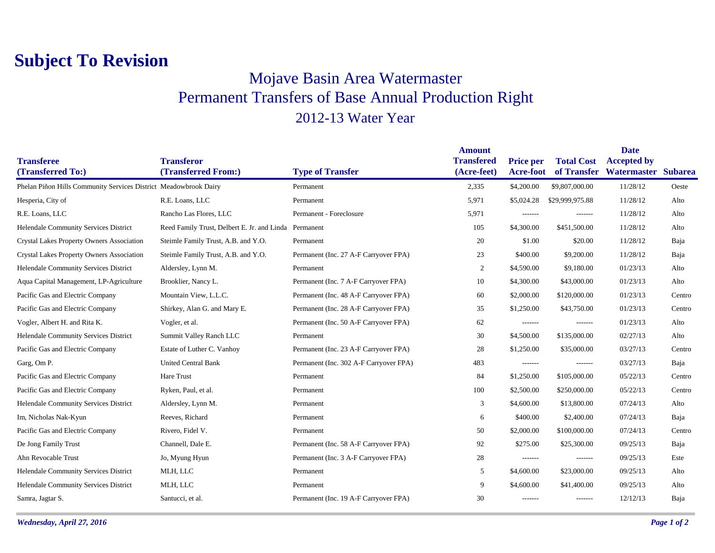## **Subject To Revision**

## Mojave Basin Area Watermaster Permanent Transfers of Base Annual Production Right 2012-13 Water Year

|                                                                  |                                                       |                                        | <b>Amount</b>                    |                                      |                                  | <b>Date</b>                               |        |
|------------------------------------------------------------------|-------------------------------------------------------|----------------------------------------|----------------------------------|--------------------------------------|----------------------------------|-------------------------------------------|--------|
| <b>Transferee</b><br>(Transferred To:)                           | <b>Transferor</b><br>(Transferred From:)              | <b>Type of Transfer</b>                | <b>Transfered</b><br>(Acre-feet) | <b>Price per</b><br><b>Acre-foot</b> | <b>Total Cost</b><br>of Transfer | <b>Accepted by</b><br>Watermaster Subarea |        |
| Phelan Piñon Hills Community Services District Meadowbrook Dairy |                                                       | Permanent                              | 2,335                            | \$4,200.00                           | \$9,807,000.00                   | 11/28/12                                  | Oeste  |
| Hesperia, City of                                                | R.E. Loans, LLC                                       | Permanent                              | 5,971                            | \$5,024.28                           | \$29,999,975.88                  | 11/28/12                                  | Alto   |
|                                                                  |                                                       | Permanent - Foreclosure                |                                  |                                      |                                  |                                           |        |
| R.E. Loans, LLC                                                  | Rancho Las Flores, LLC                                |                                        | 5,971                            | $- - - - - - -$                      | -------                          | 11/28/12                                  | Alto   |
| Helendale Community Services District                            | Reed Family Trust, Delbert E. Jr. and Linda Permanent |                                        | 105                              | \$4,300.00                           | \$451,500.00                     | 11/28/12                                  | Alto   |
| <b>Crystal Lakes Property Owners Association</b>                 | Steimle Family Trust, A.B. and Y.O.                   | Permanent                              | 20                               | \$1.00                               | \$20.00                          | 11/28/12                                  | Baja   |
| <b>Crystal Lakes Property Owners Association</b>                 | Steimle Family Trust, A.B. and Y.O.                   | Permanent (Inc. 27 A-F Carryover FPA)  | 23                               | \$400.00                             | \$9,200.00                       | 11/28/12                                  | Baja   |
| Helendale Community Services District                            | Aldersley, Lynn M.                                    | Permanent                              | 2                                | \$4,590.00                           | \$9,180.00                       | 01/23/13                                  | Alto   |
| Aqua Capital Management, LP-Agriculture                          | Brooklier, Nancy L.                                   | Permanent (Inc. 7 A-F Carryover FPA)   | 10                               | \$4,300.00                           | \$43,000.00                      | 01/23/13                                  | Alto   |
| Pacific Gas and Electric Company                                 | Mountain View, L.L.C.                                 | Permanent (Inc. 48 A-F Carryover FPA)  | 60                               | \$2,000.00                           | \$120,000.00                     | 01/23/13                                  | Centro |
| Pacific Gas and Electric Company                                 | Shirkey, Alan G. and Mary E.                          | Permanent (Inc. 28 A-F Carryover FPA)  | 35                               | \$1,250.00                           | \$43,750.00                      | 01/23/13                                  | Centro |
| Vogler, Albert H. and Rita K.                                    | Vogler, et al.                                        | Permanent (Inc. 50 A-F Carryover FPA)  | 62                               | -------                              | $- - - - - - -$                  | 01/23/13                                  | Alto   |
| Helendale Community Services District                            | Summit Valley Ranch LLC                               | Permanent                              | 30                               | \$4,500.00                           | \$135,000.00                     | 02/27/13                                  | Alto   |
| Pacific Gas and Electric Company                                 | Estate of Luther C. Vanhoy                            | Permanent (Inc. 23 A-F Carryover FPA)  | 28                               | \$1,250.00                           | \$35,000.00                      | 03/27/13                                  | Centro |
| Garg, Om P.                                                      | <b>United Central Bank</b>                            | Permanent (Inc. 302 A-F Carryover FPA) | 483                              | $- - - - - - -$                      | -------                          | 03/27/13                                  | Baja   |
| Pacific Gas and Electric Company                                 | Hare Trust                                            | Permanent                              | 84                               | \$1,250.00                           | \$105,000.00                     | 05/22/13                                  | Centro |
| Pacific Gas and Electric Company                                 | Ryken, Paul, et al.                                   | Permanent                              | 100                              | \$2,500.00                           | \$250,000.00                     | 05/22/13                                  | Centro |
| Helendale Community Services District                            | Aldersley, Lynn M.                                    | Permanent                              | 3                                | \$4,600.00                           | \$13,800.00                      | 07/24/13                                  | Alto   |
| Im, Nicholas Nak-Kyun                                            | Reeves, Richard                                       | Permanent                              | 6                                | \$400.00                             | \$2,400.00                       | 07/24/13                                  | Baja   |
| Pacific Gas and Electric Company                                 | Rivero, Fidel V.                                      | Permanent                              | 50                               | \$2,000.00                           | \$100,000.00                     | 07/24/13                                  | Centro |
| De Jong Family Trust                                             | Channell, Dale E.                                     | Permanent (Inc. 58 A-F Carryover FPA)  | 92                               | \$275.00                             | \$25,300.00                      | 09/25/13                                  | Baja   |
| Ahn Revocable Trust                                              | Jo, Myung Hyun                                        | Permanent (Inc. 3 A-F Carryover FPA)   | 28                               | -------                              | -------                          | 09/25/13                                  | Este   |
| Helendale Community Services District                            | MLH, LLC                                              | Permanent                              | 5                                | \$4,600.00                           | \$23,000.00                      | 09/25/13                                  | Alto   |
| Helendale Community Services District                            | MLH, LLC                                              | Permanent                              | 9                                | \$4,600.00                           | \$41,400.00                      | 09/25/13                                  | Alto   |
| Samra, Jagtar S.                                                 | Santucci, et al.                                      | Permanent (Inc. 19 A-F Carryover FPA)  | 30                               | -------                              | -------                          | 12/12/13                                  | Baja   |